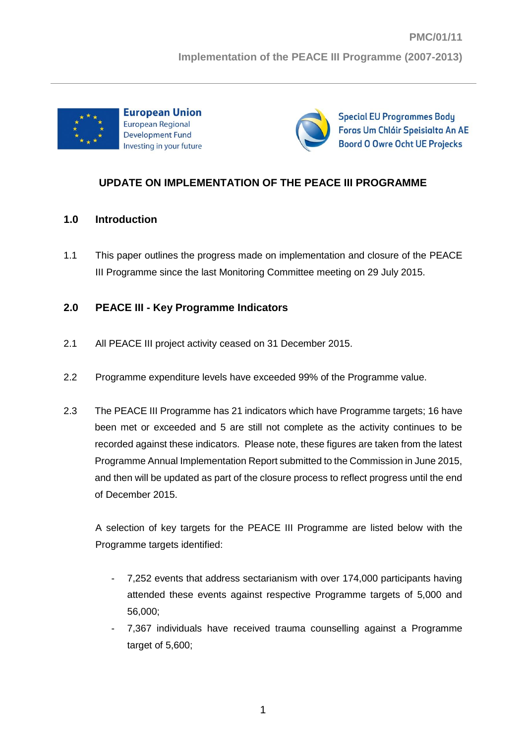



**Special EU Programmes Body** Foras Um Chláir Speisialta An AE **Boord O Owre Ocht UE Projecks** 

# **UPDATE ON IMPLEMENTATION OF THE PEACE III PROGRAMME**

### **1.0 Introduction**

1.1 This paper outlines the progress made on implementation and closure of the PEACE III Programme since the last Monitoring Committee meeting on 29 July 2015.

## **2.0 PEACE III - Key Programme Indicators**

- 2.1 All PEACE III project activity ceased on 31 December 2015.
- 2.2 Programme expenditure levels have exceeded 99% of the Programme value.
- 2.3 The PEACE III Programme has 21 indicators which have Programme targets; 16 have been met or exceeded and 5 are still not complete as the activity continues to be recorded against these indicators. Please note, these figures are taken from the latest Programme Annual Implementation Report submitted to the Commission in June 2015, and then will be updated as part of the closure process to reflect progress until the end of December 2015.

A selection of key targets for the PEACE III Programme are listed below with the Programme targets identified:

- 7,252 events that address sectarianism with over 174,000 participants having attended these events against respective Programme targets of 5,000 and 56,000;
- 7,367 individuals have received trauma counselling against a Programme target of 5,600;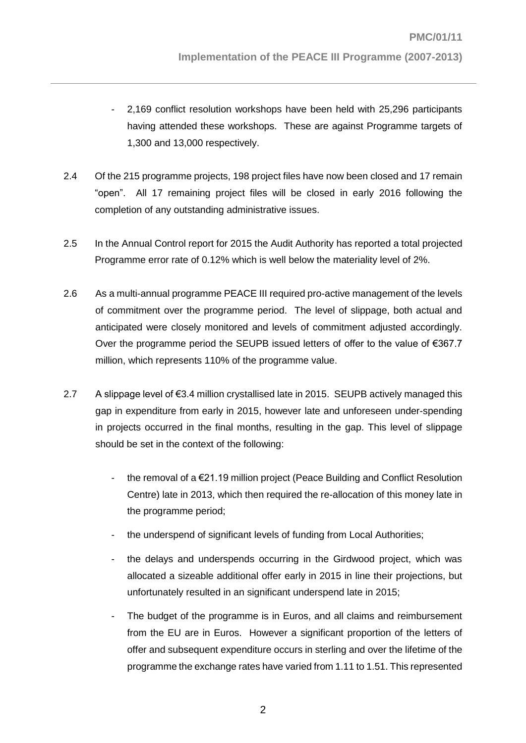- 2,169 conflict resolution workshops have been held with 25,296 participants having attended these workshops. These are against Programme targets of 1,300 and 13,000 respectively.
- 2.4 Of the 215 programme projects, 198 project files have now been closed and 17 remain "open". All 17 remaining project files will be closed in early 2016 following the completion of any outstanding administrative issues.
- 2.5 In the Annual Control report for 2015 the Audit Authority has reported a total projected Programme error rate of 0.12% which is well below the materiality level of 2%.
- 2.6 As a multi-annual programme PEACE III required pro-active management of the levels of commitment over the programme period. The level of slippage, both actual and anticipated were closely monitored and levels of commitment adjusted accordingly. Over the programme period the SEUPB issued letters of offer to the value of €367.7 million, which represents 110% of the programme value.
- 2.7 A slippage level of  $\epsilon$ 3.4 million crystallised late in 2015. SEUPB actively managed this gap in expenditure from early in 2015, however late and unforeseen under-spending in projects occurred in the final months, resulting in the gap. This level of slippage should be set in the context of the following:
	- the removal of a  $E$ 21.19 million project (Peace Building and Conflict Resolution Centre) late in 2013, which then required the re-allocation of this money late in the programme period;
	- the underspend of significant levels of funding from Local Authorities;
	- the delays and underspends occurring in the Girdwood project, which was allocated a sizeable additional offer early in 2015 in line their projections, but unfortunately resulted in an significant underspend late in 2015;
	- The budget of the programme is in Euros, and all claims and reimbursement from the EU are in Euros. However a significant proportion of the letters of offer and subsequent expenditure occurs in sterling and over the lifetime of the programme the exchange rates have varied from 1.11 to 1.51. This represented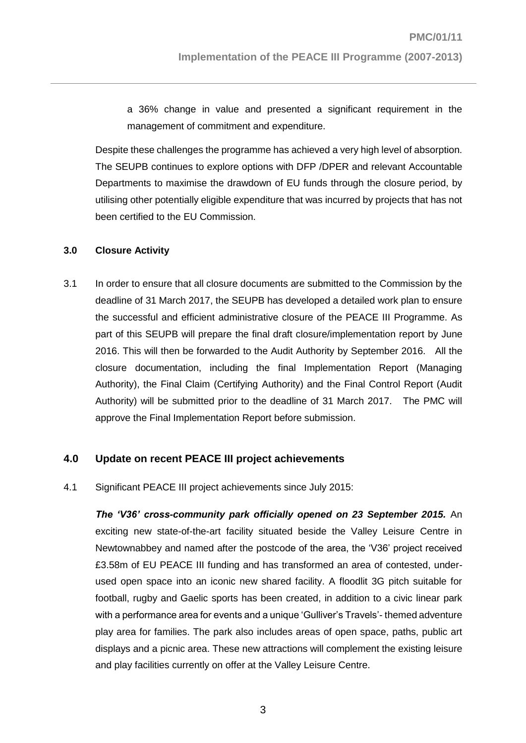a 36% change in value and presented a significant requirement in the management of commitment and expenditure.

Despite these challenges the programme has achieved a very high level of absorption. The SEUPB continues to explore options with DFP /DPER and relevant Accountable Departments to maximise the drawdown of EU funds through the closure period, by utilising other potentially eligible expenditure that was incurred by projects that has not been certified to the EU Commission.

#### **3.0 Closure Activity**

3.1 In order to ensure that all closure documents are submitted to the Commission by the deadline of 31 March 2017, the SEUPB has developed a detailed work plan to ensure the successful and efficient administrative closure of the PEACE III Programme. As part of this SEUPB will prepare the final draft closure/implementation report by June 2016. This will then be forwarded to the Audit Authority by September 2016. All the closure documentation, including the final Implementation Report (Managing Authority), the Final Claim (Certifying Authority) and the Final Control Report (Audit Authority) will be submitted prior to the deadline of 31 March 2017. The PMC will approve the Final Implementation Report before submission.

### **4.0 Update on recent PEACE III project achievements**

4.1 Significant PEACE III project achievements since July 2015:

*The 'V36' cross-community park officially opened on 23 September 2015.* An exciting new state-of-the-art facility situated beside the Valley Leisure Centre in Newtownabbey and named after the postcode of the area, the 'V36' project received £3.58m of EU PEACE III funding and has transformed an area of contested, underused open space into an iconic new shared facility. A floodlit 3G pitch suitable for football, rugby and Gaelic sports has been created, in addition to a civic linear park with a performance area for events and a unique 'Gulliver's Travels'- themed adventure play area for families. The park also includes areas of open space, paths, public art displays and a picnic area. These new attractions will complement the existing leisure and play facilities currently on offer at the Valley Leisure Centre.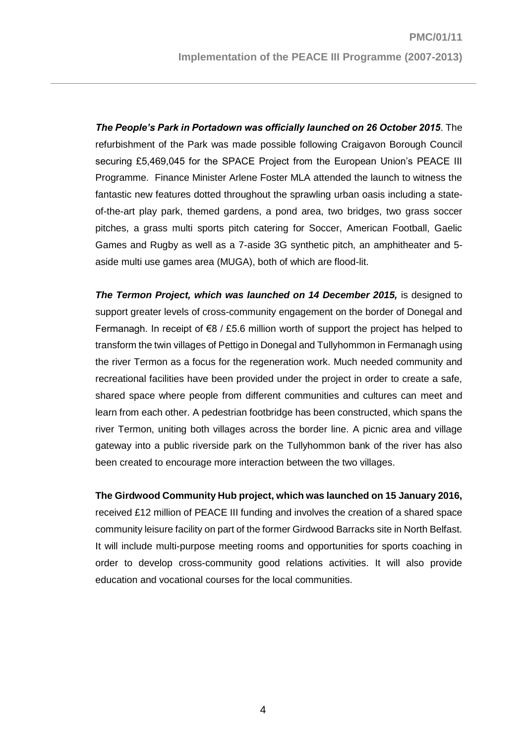*The People's Park in Portadown was officially launched on 26 October 2015*. The refurbishment of the Park was made possible following Craigavon Borough Council securing £5,469,045 for the SPACE Project from the European Union's PEACE III Programme. Finance Minister Arlene Foster MLA attended the launch to witness the fantastic new features dotted throughout the sprawling urban oasis including a stateof-the-art play park, themed gardens, a pond area, two bridges, two grass soccer pitches, a grass multi sports pitch catering for Soccer, American Football, Gaelic Games and Rugby as well as a 7-aside 3G synthetic pitch, an amphitheater and 5 aside multi use games area (MUGA), both of which are flood-lit.

**The Termon Project, which was launched on 14 December 2015, is designed to** support greater levels of cross-community engagement on the border of Donegal and Fermanagh. In receipt of  $68 / £5.6$  million worth of support the project has helped to transform the twin villages of Pettigo in Donegal and Tullyhommon in Fermanagh using the river Termon as a focus for the regeneration work. Much needed community and recreational facilities have been provided under the project in order to create a safe, shared space where people from different communities and cultures can meet and learn from each other. A pedestrian footbridge has been constructed, which spans the river Termon, uniting both villages across the border line. A picnic area and village gateway into a public riverside park on the Tullyhommon bank of the river has also been created to encourage more interaction between the two villages.

**The Girdwood Community Hub project, which was launched on 15 January 2016,** received £12 million of PEACE III funding and involves the creation of a shared space community leisure facility on part of the former Girdwood Barracks site in North Belfast. It will include multi-purpose meeting rooms and opportunities for sports coaching in order to develop cross-community good relations activities. It will also provide education and vocational courses for the local communities.